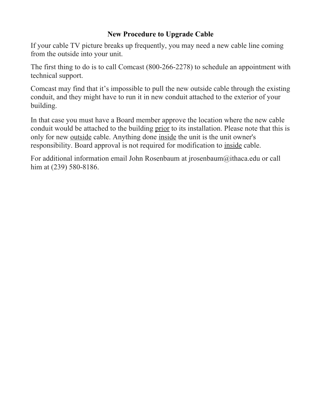## **New Procedure to Upgrade Cable**

If your cable TV picture breaks up frequently, you may need a new cable line coming from the outside into your unit.

The first thing to do is to call Comcast (800-266-2278) to schedule an appointment with technical support.

Comcast may find that it's impossible to pull the new outside cable through the existing conduit, and they might have to run it in new conduit attached to the exterior of your building.

In that case you must have a Board member approve the location where the new cable conduit would be attached to the building prior to its installation. Please note that this is only for new outside cable. Anything done inside the unit is the unit owner's responsibility. Board approval is not required for modification to inside cable.

For additional information email John Rosenbaum at jrosenbaum@ithaca.edu or call him at (239) 580-8186.